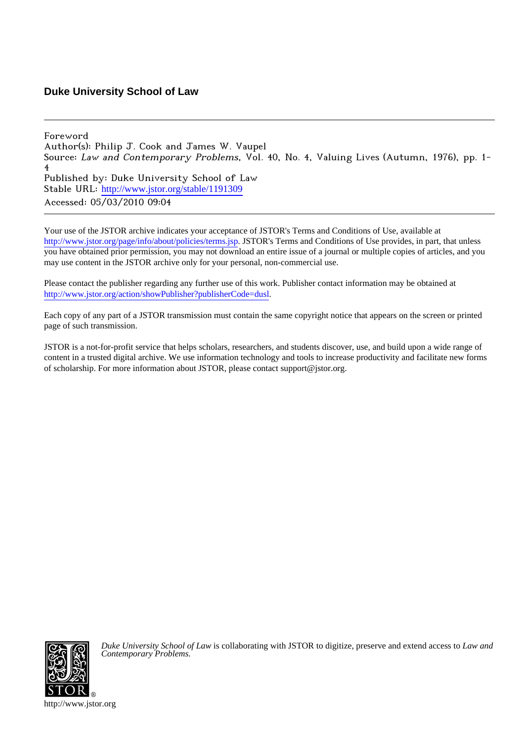## **Duke University School of Law**

Foreword Author(s): Philip J. Cook and James W. Vaupel Source: Law and Contemporary Problems, Vol. 40, No. 4, Valuing Lives (Autumn, 1976), pp. 1- 4 Published by: Duke University School of Law Stable URL: [http://www.jstor.org/stable/1191309](http://www.jstor.org/stable/1191309?origin=JSTOR-pdf) Accessed: 05/03/2010 09:04

Your use of the JSTOR archive indicates your acceptance of JSTOR's Terms and Conditions of Use, available at <http://www.jstor.org/page/info/about/policies/terms.jsp>. JSTOR's Terms and Conditions of Use provides, in part, that unless you have obtained prior permission, you may not download an entire issue of a journal or multiple copies of articles, and you may use content in the JSTOR archive only for your personal, non-commercial use.

Please contact the publisher regarding any further use of this work. Publisher contact information may be obtained at [http://www.jstor.org/action/showPublisher?publisherCode=dusl.](http://www.jstor.org/action/showPublisher?publisherCode=dusl)

Each copy of any part of a JSTOR transmission must contain the same copyright notice that appears on the screen or printed page of such transmission.

JSTOR is a not-for-profit service that helps scholars, researchers, and students discover, use, and build upon a wide range of content in a trusted digital archive. We use information technology and tools to increase productivity and facilitate new forms of scholarship. For more information about JSTOR, please contact support@jstor.org.



*Duke University School of Law* is collaborating with JSTOR to digitize, preserve and extend access to *Law and Contemporary Problems.*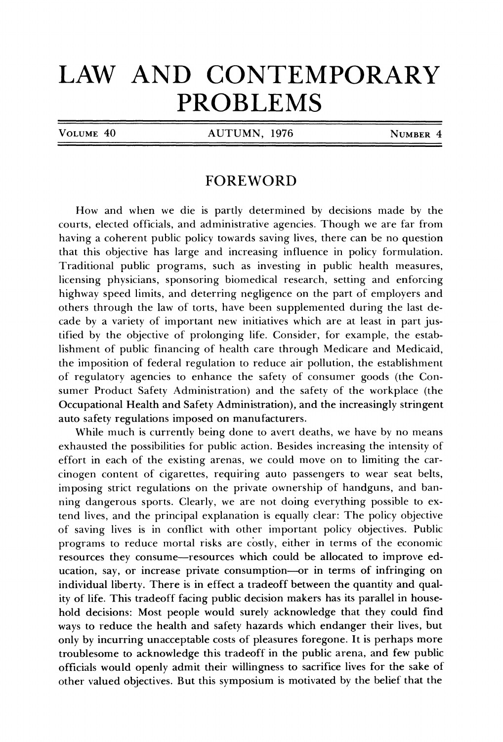## **LAW AND CONTEMPORARY PROBLEMS**

VOLUME 40 **AUTUMN, 1976** NUMBER 4

## **FOREWORD**

**How and when we die is partly determined by decisions made by the courts, elected officials, and administrative agencies. Though we are far from having a coherent public policy towards saving lives, there can be no question that this objective has large and increasing influence in policy formulation. Traditional public programs, such as investing in public health measures, licensing physicians, sponsoring biomedical research, setting and enforcing highway speed limits, and deterring negligence on the part of employers and others through the law of torts, have been supplemented during the last decade by a variety of important new initiatives which are at least in part justified by the objective of prolonging life. Consider, for example, the establishment of public financing of health care through Medicare and Medicaid, the imposition of federal regulation to reduce air pollution, the establishment of regulatory agencies to enhance the safety of consumer goods (the Consumer Product Safety Administration) and the safety of the workplace (the Occupational Health and Safety Administration), and the increasingly stringent auto safety regulations imposed on manufacturers.** 

**While much is currently being done to avert deaths, we have by no means exhausted the possibilities for public action. Besides increasing the intensity of effort in each of the existing arenas, we could move on to limiting the carcinogen content of cigarettes, requiring auto passengers to wear seat belts, imposing strict regulations on the private ownership of handguns, and banning dangerous sports. Clearly, we are not doing everything possible to extend lives, and the principal explanation is equally clear: The policy objective of saving lives is in conflict with other important policy objectives. Public programs to reduce mortal risks are costly, either in terms of the economic**  resources they consume-resources which could be allocated to improve ed**ucation, say, or increase private consumption-or in terms of infringing on individual liberty. There is in effect a tradeoff between the quantity and quality of life. This tradeoff facing public decision makers has its parallel in household decisions: Most people would surely acknowledge that they could find ways to reduce the health and safety hazards which endanger their lives, but only by incurring unacceptable costs of pleasures foregone. It is perhaps more troublesome to acknowledge this tradeoff in the public arena, and few public officials would openly admit their willingness to sacrifice lives for the sake of other valued objectives. But this symposium is motivated by the belief that the**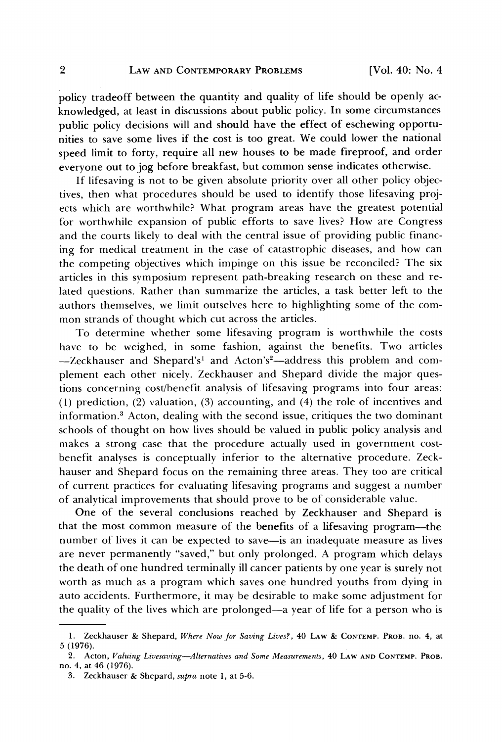**policy tradeoff between the quantity and quality of life should be openly acknowledged, at least in discussions about public policy. In some circumstances public policy decisions will and should have the effect of eschewing opportunities to save some lives if the cost is too great. We could lower the national speed limit to forty, require all new houses to be made fireproof, and order everyone out to jog before breakfast, but common sense indicates otherwise.** 

**If lifesaving is not to be given absolute priority over all other policy objectives, then what procedures should be used to identify those lifesaving projects which are worthwhile? What program areas have the greatest potential for worthwhile expansion of public efforts to save lives? How are Congress and the courts likely to deal with the central issue of providing public financing for medical treatment in the case of catastrophic diseases, and how can the competing objectives which impinge on this issue be reconciled? The six articles in this symposium represent path-breaking research on these and related questions. Rather than summarize the articles, a task better left to the authors themselves, we limit outselves here to highlighting some of the common strands of thought which cut across the articles.** 

**To determine whether some lifesaving program is worthwhile the costs have to be weighed, in some fashion, against the benefits. Two articles**  -Zeckhauser and Shepard's<sup>1</sup> and Acton's<sup>2</sup>-address this problem and com**plement each other nicely. Zeckhauser and Shepard divide the major questions concerning cost/benefit analysis of lifesaving programs into four areas: (1) prediction, (2) valuation, (3) accounting, and (4) the role of incentives and information.3 Acton, dealing with the second issue, critiques the two dominant schools of thought on how lives should be valued in public policy analysis and makes a strong case that the procedure actually used in government costbenefit analyses is conceptually inferior to the alternative procedure. Zeckhauser and Shepard focus on the remaining three areas. They too are critical of current practices for evaluating lifesaving programs and suggest a number of analytical improvements that should prove to be of considerable value.** 

**One of the several conclusions reached by Zeckhauser and Shepard is that the most common measure of the benefits of a lifesaving program-the number of lives it can be expected to save-is an inadequate measure as lives are never permanently "saved," but only prolonged. A program which delays the death of one hundred terminally ill cancer patients by one year is surely not worth as much as a program which saves one hundred youths from dying in auto accidents. Furthermore, it may be desirable to make some adjustment for the quality of the lives which are prolonged-a year of life for a person who is** 

**<sup>1.</sup> Zeckhauser & Shepard, Where Now for Saving Lives?, 40 LAW & CONTEMP. PROB. no. 4, at 5 (1976).** 

**<sup>2.</sup> Acton, Valuing Livesaving-Alternatives and Some Measurements, 40 LAW AND CONTEMP. PROB. no. 4, at 46 (1976).** 

**<sup>3.</sup> Zeckhauser & Shepard, supra note 1, at 5-6.**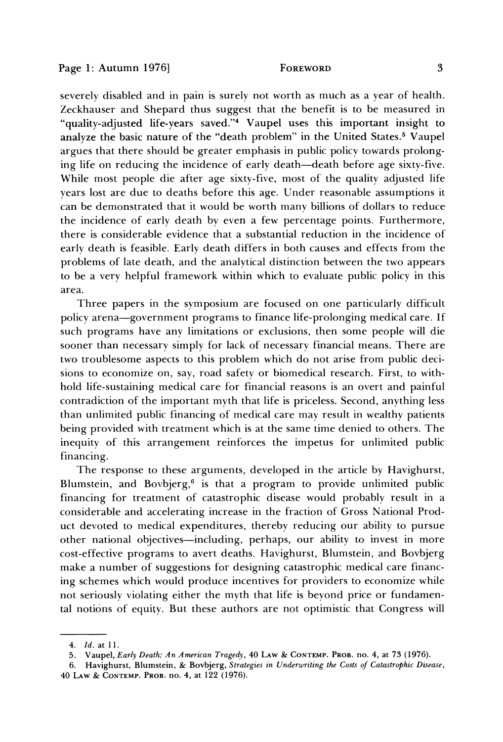## FOREWORD 3

**severely disabled and in pain is surely not worth as much as a year of health. Zeckhauser and Shepard thus suggest that the benefit is to be measured in "quality-adjusted life-years saved."4 Vaupel uses this important insight to analyze the basic nature of the "death problem" in the United States.5 Vaupel argues that there should be greater emphasis in public policy towards prolonging life on reducing the incidence of early death-death before age sixty-five. While most people die after age sixty-five, most of the quality adjusted life years lost are due to deaths before this age. Under reasonable assumptions it can be demonstrated that it would be worth many billions of dollars to reduce the incidence of early death by even a few percentage points. Furthermore, there is considerable evidence that a substantial reduction in the incidence of early death is feasible. Early death differs in both causes and effects from the problems of late death, and the analytical distinction between the two appears to be a very helpful framework within which to evaluate public policy in this area.** 

**Three papers in the symposium are focused on one particularly difficult policy arena-government programs to finance life-prolonging medical care. If such programs have any limitations or exclusions, then some people will die sooner than necessary simply for lack of necessary financial means. There are two troublesome aspects to this problem which do not arise from public decisions to economize on, say, road safety or biomedical research. First, to withhold life-sustaining medical care for financial reasons is an overt and painful contradiction of the important myth that life is priceless. Second, anything less than unlimited public financing of medical care may result in wealthy patients being provided with treatment which is at the same time denied to others. The inequity of this arrangement reinforces the impetus for unlimited public financing.** 

**The response to these arguments, developed in the article by Havighurst, Blumstein, and Bovbjerg,6 is that a program to provide unlimited public financing for treatment of catastrophic disease would probably result in a considerable and accelerating increase in the fraction of Gross National Product devoted to medical expenditures, thereby reducing our ability to pursue other national objectives-including, perhaps, our ability to invest in more cost-effective programs to avert deaths. Havighurst, Blumstein, and Bovbjerg make a number of suggestions for designing catastrophic medical care financing schemes which would produce incentives for providers to economize while not seriously violating either the myth that life is beyond price or fundamental notions of equity. But these authors are not optimistic that Congress will** 

**<sup>4.</sup> Id. at 11.** 

**<sup>5.</sup> Vaupel, Early Death: An American Tragedy, 40 LAW & CONTEMP. PROB. no. 4, at 73 (1976).** 

**<sup>6.</sup> Havighurst, Blumstein, & Bovbjerg, Strategies in Underwriting the Costs of Catastrophic Disease, 40 LAW & CONTEMP. PROB. no. 4, at 122 (1976).**